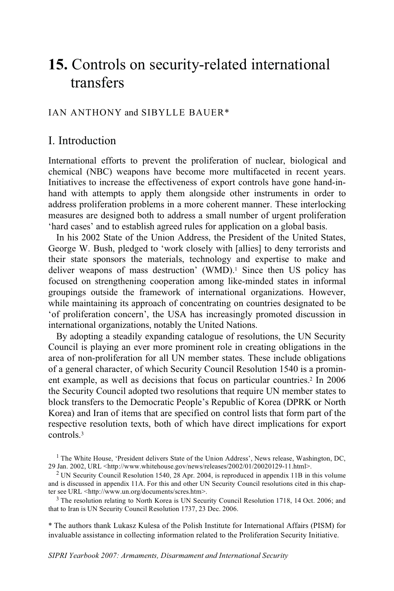# **15.** Controls on security-related international transfers

## IAN ANTHONY and SIBYLLE BAUER\*

# I. Introduction

International efforts to prevent the proliferation of nuclear, biological and chemical (NBC) weapons have become more multifaceted in recent years. Initiatives to increase the effectiveness of export controls have gone hand-inhand with attempts to apply them alongside other instruments in order to address proliferation problems in a more coherent manner. These interlocking measures are designed both to address a small number of urgent proliferation 'hard cases' and to establish agreed rules for application on a global basis.

In his 2002 State of the Union Address, the President of the United States, George W. Bush, pledged to 'work closely with [allies] to deny terrorists and their state sponsors the materials, technology and expertise to make and deliver weapons of mass destruction' (WMD).<sup>1</sup> Since then US policy has focused on strengthening cooperation among like-minded states in informal groupings outside the framework of international organizations. However, while maintaining its approach of concentrating on countries designated to be 'of proliferation concern', the USA has increasingly promoted discussion in international organizations, notably the United Nations.

By adopting a steadily expanding catalogue of resolutions, the UN Security Council is playing an ever more prominent role in creating obligations in the area of non-proliferation for all UN member states. These include obligations of a general character, of which Security Council Resolution 1540 is a prominent example, as well as decisions that focus on particular countries.<sup>2</sup> In 2006 the Security Council adopted two resolutions that require UN member states to block transfers to the Democratic People's Republic of Korea (DPRK or North Korea) and Iran of items that are specified on control lists that form part of the respective resolution texts, both of which have direct implications for export controls.3

that to Iran is UN Security Council Resolution 1737, 23 Dec. 2006.

\* The authors thank Lukasz Kulesa of the Polish Institute for International Affairs (PISM) for invaluable assistance in collecting information related to the Proliferation Security Initiative.

<sup>&</sup>lt;sup>1</sup> The White House, 'President delivers State of the Union Address', News release, Washington, DC, 29 Jan. 2002, URL <http://www.whitehouse.gov/news/releases/2002/01/20020129-11.html>.

<sup>&</sup>lt;sup>2</sup> UN Security Council Resolution 1540, 28 Apr. 2004, is reproduced in appendix 11B in this volume and is discussed in appendix 11A. For this and other UN Security Council resolutions cited in this chapter see URL <http://www.un.org/documents/scres.htm>.<br><sup>3</sup> The resolution relating to North Korea is UN Security Council Resolution 1718, 14 Oct. 2006; and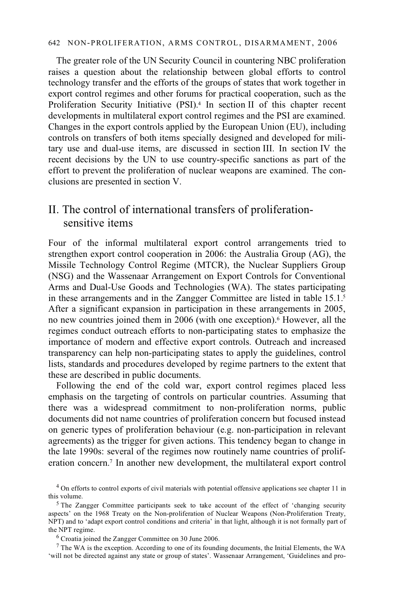The greater role of the UN Security Council in countering NBC proliferation raises a question about the relationship between global efforts to control technology transfer and the efforts of the groups of states that work together in export control regimes and other forums for practical cooperation, such as the Proliferation Security Initiative (PSI).<sup>4</sup> In section II of this chapter recent developments in multilateral export control regimes and the PSI are examined. Changes in the export controls applied by the European Union (EU), including controls on transfers of both items specially designed and developed for military use and dual-use items, are discussed in section III. In section IV the recent decisions by the UN to use country-specific sanctions as part of the effort to prevent the proliferation of nuclear weapons are examined. The conclusions are presented in section V.

# II. The control of international transfers of proliferationsensitive items

Four of the informal multilateral export control arrangements tried to strengthen export control cooperation in 2006: the Australia Group (AG), the Missile Technology Control Regime (MTCR), the Nuclear Suppliers Group (NSG) and the Wassenaar Arrangement on Export Controls for Conventional Arms and Dual-Use Goods and Technologies (WA). The states participating in these arrangements and in the Zangger Committee are listed in table 15.1.5 After a significant expansion in participation in these arrangements in 2005, no new countries joined them in 2006 (with one exception).6 However, all the regimes conduct outreach efforts to non-participating states to emphasize the importance of modern and effective export controls. Outreach and increased transparency can help non-participating states to apply the guidelines, control lists, standards and procedures developed by regime partners to the extent that these are described in public documents.

Following the end of the cold war, export control regimes placed less emphasis on the targeting of controls on particular countries. Assuming that there was a widespread commitment to non-proliferation norms, public documents did not name countries of proliferation concern but focused instead on generic types of proliferation behaviour (e.g. non-participation in relevant agreements) as the trigger for given actions. This tendency began to change in the late 1990s: several of the regimes now routinely name countries of proliferation concern.7 In another new development, the multilateral export control

<sup>&</sup>lt;sup>4</sup> On efforts to control exports of civil materials with potential offensive applications see chapter 11 in this volume.

 $5$  The Zangger Committee participants seek to take account of the effect of 'changing security aspects' on the 1968 Treaty on the Non-proliferation of Nuclear Weapons (Non-Proliferation Treaty, NPT) and to 'adapt export control conditions and criteria' in that light, although it is not formally part of the NPT regime.

<sup>6</sup> Croatia joined the Zangger Committee on 30 June 2006.

<sup>7</sup> The WA is the exception. According to one of its founding documents, the Initial Elements, the WA 'will not be directed against any state or group of states'. Wassenaar Arrangement, 'Guidelines and pro-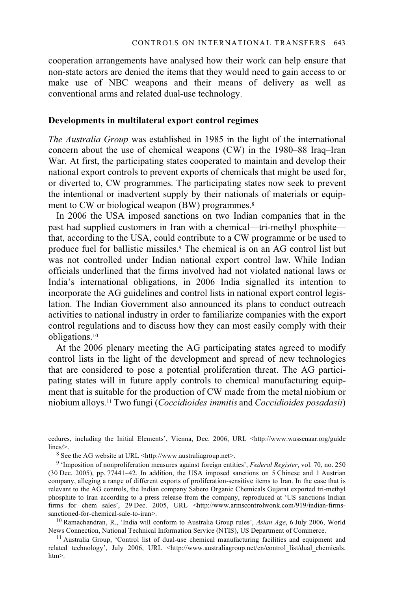cooperation arrangements have analysed how their work can help ensure that non-state actors are denied the items that they would need to gain access to or make use of NBC weapons and their means of delivery as well as conventional arms and related dual-use technology.

#### **Developments in multilateral export control regimes**

*The Australia Group* was established in 1985 in the light of the international concern about the use of chemical weapons (CW) in the 1980–88 Iraq–Iran War. At first, the participating states cooperated to maintain and develop their national export controls to prevent exports of chemicals that might be used for, or diverted to, CW programmes. The participating states now seek to prevent the intentional or inadvertent supply by their nationals of materials or equipment to CW or biological weapon (BW) programmes.<sup>8</sup>

In 2006 the USA imposed sanctions on two Indian companies that in the past had supplied customers in Iran with a chemical—tri-methyl phosphite that, according to the USA, could contribute to a CW programme or be used to produce fuel for ballistic missiles.9 The chemical is on an AG control list but was not controlled under Indian national export control law. While Indian officials underlined that the firms involved had not violated national laws or India's international obligations, in 2006 India signalled its intention to incorporate the AG guidelines and control lists in national export control legislation. The Indian Government also announced its plans to conduct outreach activities to national industry in order to familiarize companies with the export control regulations and to discuss how they can most easily comply with their obligations.10

At the 2006 plenary meeting the AG participating states agreed to modify control lists in the light of the development and spread of new technologies that are considered to pose a potential proliferation threat. The AG participating states will in future apply controls to chemical manufacturing equipment that is suitable for the production of CW made from the metal niobium or niobium alloys.11 Two fungi (*Coccidioides immitis* and *Coccidioides posadasii*)

cedures, including the Initial Elements', Vienna, Dec. 2006, URL <http://www.wassenaar.org/guide lines/>.<br><sup>8</sup> See the AG website at URL <http://www.australiagroup.net>.

9 'Imposition of nonproliferation measures against foreign entities', *Federal Register*, vol. 70, no. 250 (30 Dec. 2005), pp. 77441–42. In addition, the USA imposed sanctions on 5 Chinese and 1 Austrian company, alleging a range of different exports of proliferation-sensitive items to Iran. In the case that is relevant to the AG controls, the Indian company Sabero Organic Chemicals Gujarat exported tri-methyl phosphite to Iran according to a press release from the company, reproduced at 'US sanctions Indian firms for chem sales', 29 Dec. 2005, URL <http://www.armscontrolwonk.com/919/indian-firmssanctioned-for-chemical-sale-to-iran>.

<sup>10</sup> Ramachandran, R., 'India will conform to Australia Group rules', *Asian Age*, 6 July 2006, World News Connection, National Technical Information Service (NTIS), US Department of Commerce.

<sup>11</sup> Australia Group, 'Control list of dual-use chemical manufacturing facilities and equipment and related technology', July 2006, URL <http://www.australiagroup.net/en/control\_list/dual\_chemicals. htm>.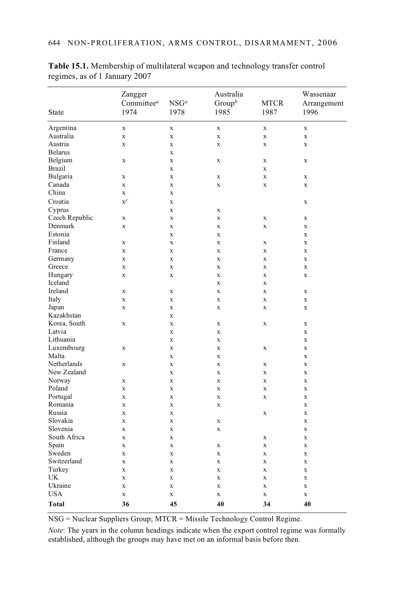|                | Zangger                |             | Australia          |             | Wassenaar   |
|----------------|------------------------|-------------|--------------------|-------------|-------------|
|                | Committee <sup>a</sup> | $NSG^a$     | Group <sup>b</sup> | <b>MTCR</b> | Arrangement |
| State          | 1974                   | 1978        | 1985               | 1987        | 1996        |
|                |                        |             |                    |             |             |
| Argentina      | $\mathbf X$            | $\mathbf X$ | $\mathbf X$        | X           | $\mathbf x$ |
| Australia      | $\mathbf X$            | $\mathbf x$ | $\mathbf X$        | X           | X           |
| Austria        | $\mathbf x$            | $\mathbf X$ | $\mathbf X$        | X           | $\mathbf x$ |
| <b>Belarus</b> |                        | X           |                    |             |             |
| Belgium        | X                      | $\mathbf x$ | $\mathbf X$        | X           | $\mathbf X$ |
| <b>Brazil</b>  |                        | $\mathbf X$ |                    | $\mathbf X$ |             |
| Bulgaria       | X                      | $\mathbf X$ | $\mathbf X$        | $\mathbf X$ | X           |
| Canada         | $\mathbf x$            | $\mathbf x$ | X                  | $\mathbf X$ | $\mathbf X$ |
| China          | $\mathbf x$            | $\mathbf X$ |                    |             |             |
| Croatia        | $\mathbf{x}^c$         | $\mathbf X$ |                    |             | $\mathbf X$ |
| Cyprus         |                        | $\mathbf x$ | $\mathbf x$        |             |             |
| Czech Republic | X                      | X           | $\mathbf X$        | X           | x           |
| Denmark        | $\mathbf X$            | X           | $\mathbf X$        | X           | X           |
| Estonia        |                        | $\mathbf X$ | $\mathbf X$        |             | $\mathbf X$ |
| Finland        | $\mathbf x$            | $\mathbf X$ | $\mathbf X$        | X           | $\mathbf X$ |
| France         | X                      | $\mathbf x$ | $\mathbf X$        | X           | X           |
| Germany        | X                      | X           | $\mathbf X$        | X           | X           |
| Greece         | X                      | $\mathbf X$ | $\mathbf X$        | X           | $\mathbf X$ |
| Hungary        | $\mathbf X$            | $\mathbf X$ | $\mathbf X$        | $\mathbf X$ | $\mathbf X$ |
| Iceland        |                        |             | X                  | X           |             |
| Ireland        | X                      | $\mathbf x$ | $\mathbf X$        | $\mathbf X$ | X           |
| Italy          | $\mathbf X$            | $\mathbf X$ | $\mathbf X$        | X           | X           |
| Japan          | $\mathbf X$            | $\mathbf X$ | $\mathbf X$        | X           | X           |
| Kazakhstan     |                        | $\mathbf X$ |                    |             |             |
| Korea, South   | X                      | $\mathbf x$ | $\mathbf x$        | X           | X           |
| Latvia         |                        | X           | $\mathbf X$        |             | X           |
| Lithuania      |                        | $\mathbf X$ | $\mathbf X$        |             | X           |
| Luxembourg     | X                      | $\mathbf X$ | $\mathbf X$        | X           | $\mathbf X$ |
| Malta          |                        | $\mathbf x$ | $\mathbf x$        |             | X           |
| Netherlands    | X                      | $\mathbf x$ | $\mathbf x$        | X           | X           |
| New Zealand    |                        | $\mathbf X$ | $\mathbf X$        | X           | X           |
| Norway         | $\mathbf X$            | $\mathbf X$ | $\mathbf X$        | X           | $\mathbf X$ |
| Poland         | $\mathbf X$            | $\mathbf x$ | $\mathbf X$        | $\mathbf X$ | X           |
| Portugal       | X                      | $\mathbf x$ | $\mathbf x$        | X           | X           |
| Romania        | $\mathbf x$            | $\mathbf x$ | $\mathbf X$        |             | $\mathbf X$ |
| Russia         | $\mathbf x$            | $\mathbf X$ |                    | $\mathbf X$ | X           |
| Slovakia       | $\mathbf X$            | $\mathbf x$ | $\mathbf X$        |             | $\mathbf X$ |
| Slovenia       | $\mathbf X$            | $\mathbf X$ | $\mathbf X$        |             | $\mathbf X$ |
| South Africa   | X                      | $\mathbf x$ |                    | X           | $\mathbf X$ |
| Spain          | X                      | X           | X                  | X           | X           |
| Sweden         | $\mathbf X$            | $\mathbf X$ | $\mathbf X$        | X           | $\mathbf X$ |
| Switzerland    | $\mathbf X$            | $\mathbf x$ | $\mathbf X$        | $\mathbf X$ | $\mathbf X$ |
| Turkey         | $\mathbf X$            | $\mathbf X$ | $\mathbf X$        | X           | X           |
| <b>UK</b>      | X                      | X           | $\mathbf X$        | X           | X           |
| Ukraine        | $\mathbf X$            | $\mathbf X$ | $\mathbf X$        | X           | $\mathbf X$ |
| <b>USA</b>     | X                      | $\mathbf X$ | X                  | X           | X           |
| <b>Total</b>   | 36                     | 45          | 40                 | 34          | 40          |

**Table 15.1.** Membership of multilateral weapon and technology transfer control regimes, as of 1 January 2007

NSG = Nuclear Suppliers Group; MTCR = Missile Technology Control Regime.

*Note*: The years in the column headings indicate when the export control regime was formally established, although the groups may have met on an informal basis before then.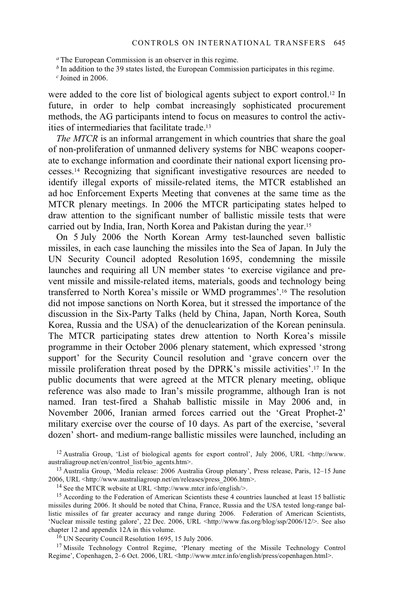*<sup>a</sup>* The European Commission is an observer in this regime.

*b* In addition to the 39 states listed, the European Commission participates in this regime.

*<sup>c</sup>* Joined in 2006.

were added to the core list of biological agents subject to export control.<sup>12</sup> In future, in order to help combat increasingly sophisticated procurement methods, the AG participants intend to focus on measures to control the activities of intermediaries that facilitate trade.13

*The MTCR* is an informal arrangement in which countries that share the goal of non-proliferation of unmanned delivery systems for NBC weapons cooperate to exchange information and coordinate their national export licensing processes.14 Recognizing that significant investigative resources are needed to identify illegal exports of missile-related items, the MTCR established an ad hoc Enforcement Experts Meeting that convenes at the same time as the MTCR plenary meetings. In 2006 the MTCR participating states helped to draw attention to the significant number of ballistic missile tests that were carried out by India, Iran, North Korea and Pakistan during the year.15

On 5 July 2006 the North Korean Army test-launched seven ballistic missiles, in each case launching the missiles into the Sea of Japan. In July the UN Security Council adopted Resolution 1695, condemning the missile launches and requiring all UN member states 'to exercise vigilance and prevent missile and missile-related items, materials, goods and technology being transferred to North Korea's missile or WMD programmes'.16 The resolution did not impose sanctions on North Korea, but it stressed the importance of the discussion in the Six-Party Talks (held by China, Japan, North Korea, South Korea, Russia and the USA) of the denuclearization of the Korean peninsula. The MTCR participating states drew attention to North Korea's missile programme in their October 2006 plenary statement, which expressed 'strong support' for the Security Council resolution and 'grave concern over the missile proliferation threat posed by the DPRK's missile activities'.17 In the public documents that were agreed at the MTCR plenary meeting, oblique reference was also made to Iran's missile programme, although Iran is not named. Iran test-fired a Shahab ballistic missile in May 2006 and, in November 2006, Iranian armed forces carried out the 'Great Prophet-2' military exercise over the course of 10 days. As part of the exercise, 'several dozen' short- and medium-range ballistic missiles were launched, including an

<sup>16</sup> UN Security Council Resolution 1695, 15 July 2006.

<sup>17</sup> Missile Technology Control Regime, 'Plenary meeting of the Missile Technology Control Regime', Copenhagen, 2–6 Oct. 2006, URL <http://www.mtcr.info/english/press/copenhagen.html>.

<sup>&</sup>lt;sup>12</sup> Australia Group, 'List of biological agents for export control', July 2006, URL <http://www.<br>australiagroup.net/en/control list/bio agents.htm>.

<sup>&</sup>lt;sup>13</sup> Australia Group, 'Media release: 2006 Australia Group plenary', Press release, Paris, 12–15 June 2006, URL <http://www.australiagroup.net/en/releases/press\_2006.htm>.

<sup>&</sup>lt;sup>14</sup> See the MTCR website at URL <http://www.mtcr.info/english/>.

<sup>&</sup>lt;sup>15</sup> According to the Federation of American Scientists these 4 countries launched at least 15 ballistic missiles during 2006. It should be noted that China, France, Russia and the USA tested long-range ballistic missiles of far greater accuracy and range during 2006. Federation of American Scientists, 'Nuclear missile testing galore', 22 Dec. 2006, URL <http://www.fas.org/blog/ssp/2006/12/>. See also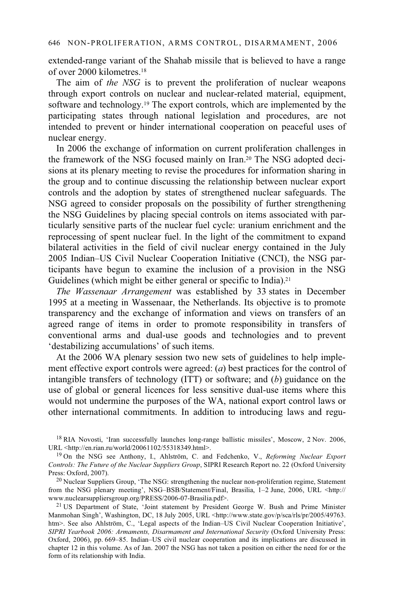extended-range variant of the Shahab missile that is believed to have a range of over 2000 kilometres.18

The aim of *the NSG* is to prevent the proliferation of nuclear weapons through export controls on nuclear and nuclear-related material, equipment, software and technology.<sup>19</sup> The export controls, which are implemented by the participating states through national legislation and procedures, are not intended to prevent or hinder international cooperation on peaceful uses of nuclear energy.

In 2006 the exchange of information on current proliferation challenges in the framework of the NSG focused mainly on Iran.20 The NSG adopted decisions at its plenary meeting to revise the procedures for information sharing in the group and to continue discussing the relationship between nuclear export controls and the adoption by states of strengthened nuclear safeguards. The NSG agreed to consider proposals on the possibility of further strengthening the NSG Guidelines by placing special controls on items associated with particularly sensitive parts of the nuclear fuel cycle: uranium enrichment and the reprocessing of spent nuclear fuel. In the light of the commitment to expand bilateral activities in the field of civil nuclear energy contained in the July 2005 Indian–US Civil Nuclear Cooperation Initiative (CNCI), the NSG participants have begun to examine the inclusion of a provision in the NSG Guidelines (which might be either general or specific to India).<sup>21</sup>

*The Wassenaar Arrangement* was established by 33 states in December 1995 at a meeting in Wassenaar, the Netherlands. Its objective is to promote transparency and the exchange of information and views on transfers of an agreed range of items in order to promote responsibility in transfers of conventional arms and dual-use goods and technologies and to prevent 'destabilizing accumulations' of such items.

At the 2006 WA plenary session two new sets of guidelines to help implement effective export controls were agreed: (*a*) best practices for the control of intangible transfers of technology (ITT) or software; and (*b*) guidance on the use of global or general licences for less sensitive dual-use items where this would not undermine the purposes of the WA, national export control laws or other international commitments. In addition to introducing laws and regu-

<sup>21</sup> US Department of State, 'Joint statement by President George W. Bush and Prime Minister Manmohan Singh', Washington, DC, 18 July 2005, URL <http://www.state.gov/p/sca/rls/pr/2005/49763. htm>. See also Ahlström, C., 'Legal aspects of the Indian–US Civil Nuclear Cooperation Initiative', *SIPRI Yearbook 2006: Armaments, Disarmament and International Security* (Oxford University Press: Oxford, 2006), pp. 669–85. Indian–US civil nuclear cooperation and its implications are discussed in chapter 12 in this volume. As of Jan. 2007 the NSG has not taken a position on either the need for or the form of its relationship with India.

<sup>&</sup>lt;sup>18</sup> RIA Novosti, 'Iran successfully launches long-range ballistic missiles', Moscow, 2 Nov. 2006, URL <http://en.rian.ru/world/20061102/55318349.html>.

<sup>&</sup>lt;sup>19</sup> On the NSG see Anthony, I., Ahlström, C. and Fedchenko, V., *Reforming Nuclear Export Controls: The Future of the Nuclear Suppliers Group*, SIPRI Research Report no. 22 (Oxford University Press: Oxford, 2007).

<sup>&</sup>lt;sup>20</sup> Nuclear Suppliers Group, 'The NSG: strengthening the nuclear non-proliferation regime, Statement from the NSG plenary meeting', NSG–BSB/Statement/Final, Brasilia, 1–2 June, 2006, URL <http://www.nuclearsuppliersgroup.org/PRESS/2006-07-Brasilia.pdf>.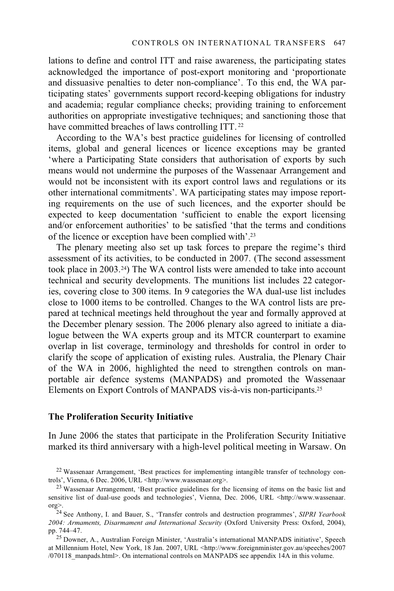lations to define and control ITT and raise awareness, the participating states acknowledged the importance of post-export monitoring and 'proportionate and dissuasive penalties to deter non-compliance'. To this end, the WA participating states' governments support record-keeping obligations for industry and academia; regular compliance checks; providing training to enforcement authorities on appropriate investigative techniques; and sanctioning those that have committed breaches of laws controlling ITT.<sup>22</sup>

According to the WA's best practice guidelines for licensing of controlled items, global and general licences or licence exceptions may be granted 'where a Participating State considers that authorisation of exports by such means would not undermine the purposes of the Wassenaar Arrangement and would not be inconsistent with its export control laws and regulations or its other international commitments'. WA participating states may impose reporting requirements on the use of such licences, and the exporter should be expected to keep documentation 'sufficient to enable the export licensing and/or enforcement authorities' to be satisfied 'that the terms and conditions of the licence or exception have been complied with'.23

The plenary meeting also set up task forces to prepare the regime's third assessment of its activities, to be conducted in 2007. (The second assessment took place in 2003.24) The WA control lists were amended to take into account technical and security developments. The munitions list includes 22 categories, covering close to 300 items. In 9 categories the WA dual-use list includes close to 1000 items to be controlled. Changes to the WA control lists are prepared at technical meetings held throughout the year and formally approved at the December plenary session. The 2006 plenary also agreed to initiate a dialogue between the WA experts group and its MTCR counterpart to examine overlap in list coverage, terminology and thresholds for control in order to clarify the scope of application of existing rules. Australia, the Plenary Chair of the WA in 2006, highlighted the need to strengthen controls on manportable air defence systems (MANPADS) and promoted the Wassenaar Elements on Export Controls of MANPADS vis-à-vis non-participants.25

## **The Proliferation Security Initiative**

In June 2006 the states that participate in the Proliferation Security Initiative marked its third anniversary with a high-level political meeting in Warsaw. On

<sup>22</sup> Wassenaar Arrangement, 'Best practices for implementing intangible transfer of technology controls', Vienna, 6 Dec. 2006, URL <http://www.wassenaar.org>.<br><sup>23</sup> Wassenaar Arrangement, 'Best practice guidelines for the licensing of items on the basic list and

sensitive list of dual-use goods and technologies', Vienna, Dec. 2006, URL <http://www.wassenaar. org>. 24 See Anthony, I. and Bauer, S., 'Transfer controls and destruction programmes', *SIPRI Yearbook* 

*<sup>2004:</sup> Armaments, Disarmament and International Security* (Oxford University Press: Oxford, 2004), pp. 744–47. 25 Downer, A., Australian Foreign Minister, 'Australia's international MANPADS initiative', Speech

at Millennium Hotel, New York, 18 Jan. 2007, URL <http://www.foreignminister.gov.au/speeches/2007 /070118\_manpads.html>. On international controls on MANPADS see appendix 14A in this volume.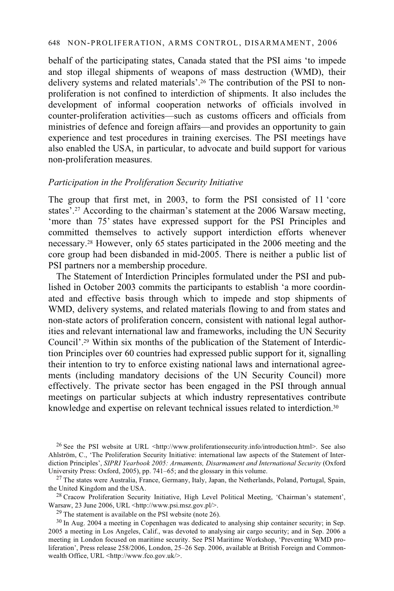behalf of the participating states, Canada stated that the PSI aims 'to impede and stop illegal shipments of weapons of mass destruction (WMD), their delivery systems and related materials'.26 The contribution of the PSI to nonproliferation is not confined to interdiction of shipments. It also includes the development of informal cooperation networks of officials involved in counter-proliferation activities—such as customs officers and officials from ministries of defence and foreign affairs—and provides an opportunity to gain experience and test procedures in training exercises. The PSI meetings have also enabled the USA, in particular, to advocate and build support for various non-proliferation measures.

### *Participation in the Proliferation Security Initiative*

The group that first met, in 2003, to form the PSI consisted of 11 'core states'.27 According to the chairman's statement at the 2006 Warsaw meeting, 'more than 75' states have expressed support for the PSI Principles and committed themselves to actively support interdiction efforts whenever necessary.28 However, only 65 states participated in the 2006 meeting and the core group had been disbanded in mid-2005. There is neither a public list of PSI partners nor a membership procedure.

The Statement of Interdiction Principles formulated under the PSI and published in October 2003 commits the participants to establish 'a more coordinated and effective basis through which to impede and stop shipments of WMD, delivery systems, and related materials flowing to and from states and non-state actors of proliferation concern, consistent with national legal authorities and relevant international law and frameworks, including the UN Security Council'.29 Within six months of the publication of the Statement of Interdiction Principles over 60 countries had expressed public support for it, signalling their intention to try to enforce existing national laws and international agreements (including mandatory decisions of the UN Security Council) more effectively. The private sector has been engaged in the PSI through annual meetings on particular subjects at which industry representatives contribute knowledge and expertise on relevant technical issues related to interdiction.30

<sup>26</sup> See the PSI website at URL <http://www.proliferationsecurity.info/introduction.html>. See also Ahlström, C., 'The Proliferation Security Initiative: international law aspects of the Statement of Interdiction Principles', *SIPRI Yearbook 2005: Armaments, Disarmament and International Security* (Oxford University Press: Oxford, 2005), pp. 741–65; and the glossary in this volume.

Warsaw, 23 June 2006, URL <http://www.psi.msz.gov.pl/>.

29 The statement is available on the PSI website (note 26).

 $^{27}$  The states were Australia, France, Germany, Italy, Japan, the Netherlands, Poland, Portugal, Spain, the United Kingdom and the USA.<br><sup>28</sup> Cracow Proliferation Security Initiative, High Level Political Meeting, 'Chairman's statement',

<sup>&</sup>lt;sup>30</sup> In Aug. 2004 a meeting in Copenhagen was dedicated to analysing ship container security; in Sep. 2005 a meeting in Los Angeles, Calif., was devoted to analysing air cargo security; and in Sep. 2006 a meeting in London focused on maritime security. See PSI Maritime Workshop, 'Preventing WMD proliferation', Press release 258/2006, London, 25–26 Sep. 2006, available at British Foreign and Commonwealth Office, URL <http://www.fco.gov.uk/>.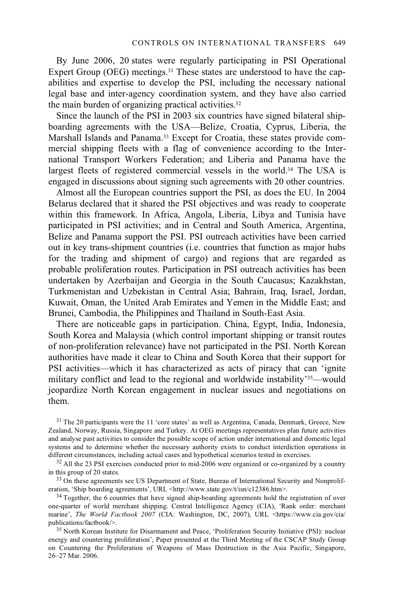By June 2006, 20 states were regularly participating in PSI Operational Expert Group (OEG) meetings.<sup>31</sup> These states are understood to have the capabilities and expertise to develop the PSI, including the necessary national legal base and inter-agency coordination system, and they have also carried the main burden of organizing practical activities.32

Since the launch of the PSI in 2003 six countries have signed bilateral shipboarding agreements with the USA—Belize, Croatia, Cyprus, Liberia, the Marshall Islands and Panama.<sup>33</sup> Except for Croatia, these states provide commercial shipping fleets with a flag of convenience according to the International Transport Workers Federation; and Liberia and Panama have the largest fleets of registered commercial vessels in the world.<sup>34</sup> The USA is engaged in discussions about signing such agreements with 20 other countries.

Almost all the European countries support the PSI, as does the EU. In 2004 Belarus declared that it shared the PSI objectives and was ready to cooperate within this framework. In Africa, Angola, Liberia, Libya and Tunisia have participated in PSI activities; and in Central and South America, Argentina, Belize and Panama support the PSI. PSI outreach activities have been carried out in key trans-shipment countries (i.e. countries that function as major hubs for the trading and shipment of cargo) and regions that are regarded as probable proliferation routes. Participation in PSI outreach activities has been undertaken by Azerbaijan and Georgia in the South Caucasus; Kazakhstan, Turkmenistan and Uzbekistan in Central Asia; Bahrain, Iraq, Israel, Jordan, Kuwait, Oman, the United Arab Emirates and Yemen in the Middle East; and Brunei, Cambodia, the Philippines and Thailand in South-East Asia.

There are noticeable gaps in participation. China, Egypt, India, Indonesia, South Korea and Malaysia (which control important shipping or transit routes of non-proliferation relevance) have not participated in the PSI. North Korean authorities have made it clear to China and South Korea that their support for PSI activities—which it has characterized as acts of piracy that can 'ignite military conflict and lead to the regional and worldwide instability'35—would jeopardize North Korean engagement in nuclear issues and negotiations on them.

<sup>31</sup> The 20 participants were the 11 'core states' as well as Argentina, Canada, Denmark, Greece, New Zealand, Norway, Russia, Singapore and Turkey. At OEG meetings representatives plan future activities and analyse past activities to consider the possible scope of action under international and domestic legal systems and to determine whether the necessary authority exists to conduct interdiction operations in

different circumstances, including actual cases and hypothetical scenarios tested in exercises.<br> $32$  All the 23 PSI exercises conducted prior to mid-2006 were organized or co-organized by a country in this group of 20 sta

<sup>33</sup> On these agreements see US Department of State, Bureau of International Security and Nonproliferation, 'Ship boarding agreements', URL <http://www.state.gov/t/isn/c12386.htm>.

<sup>34</sup> Together, the 6 countries that have signed ship-boarding agreements hold the registration of over one-quarter of world merchant shipping. Central Intelligence Agency (CIA), 'Rank order: merchant marine', *The World Factbook 2007* (CIA: Washington, DC, 2007), URL <https://www.cia.gov/cia/ publications/factbook/>.<br><sup>35</sup> North Korean Institute for Disarmament and Peace, 'Proliferation Security Initiative (PSI): nuclear

energy and countering proliferation', Paper presented at the Third Meeting of the CSCAP Study Group on Countering the Proliferation of Weapons of Mass Destruction in the Asia Pacific, Singapore, 26–27 Mar. 2006.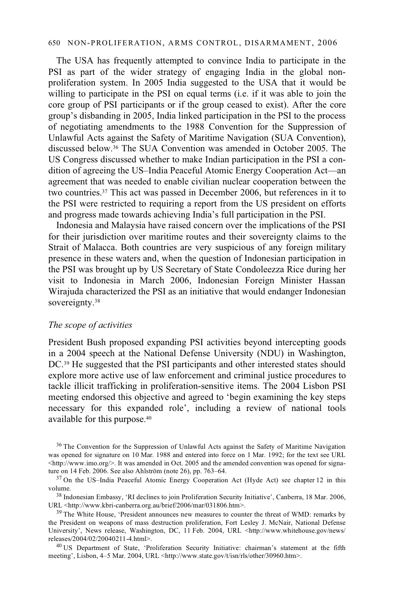#### 650 NON-PROLIFERATION, ARMS CONTROL, DISARMAMENT, 2006

The USA has frequently attempted to convince India to participate in the PSI as part of the wider strategy of engaging India in the global nonproliferation system. In 2005 India suggested to the USA that it would be willing to participate in the PSI on equal terms (i.e. if it was able to join the core group of PSI participants or if the group ceased to exist). After the core group's disbanding in 2005, India linked participation in the PSI to the process of negotiating amendments to the 1988 Convention for the Suppression of Unlawful Acts against the Safety of Maritime Navigation (SUA Convention), discussed below.36 The SUA Convention was amended in October 2005. The US Congress discussed whether to make Indian participation in the PSI a condition of agreeing the US–India Peaceful Atomic Energy Cooperation Act—an agreement that was needed to enable civilian nuclear cooperation between the two countries.37 This act was passed in December 2006, but references in it to the PSI were restricted to requiring a report from the US president on efforts and progress made towards achieving India's full participation in the PSI.

Indonesia and Malaysia have raised concern over the implications of the PSI for their jurisdiction over maritime routes and their sovereignty claims to the Strait of Malacca. Both countries are very suspicious of any foreign military presence in these waters and, when the question of Indonesian participation in the PSI was brought up by US Secretary of State Condoleezza Rice during her visit to Indonesia in March 2006, Indonesian Foreign Minister Hassan Wirajuda characterized the PSI as an initiative that would endanger Indonesian sovereignty.<sup>38</sup>

### *The scope of activities*

President Bush proposed expanding PSI activities beyond intercepting goods in a 2004 speech at the National Defense University (NDU) in Washington, DC.<sup>39</sup> He suggested that the PSI participants and other interested states should explore more active use of law enforcement and criminal justice procedures to tackle illicit trafficking in proliferation-sensitive items. The 2004 Lisbon PSI meeting endorsed this objective and agreed to 'begin examining the key steps necessary for this expanded role', including a review of national tools available for this purpose.40

<sup>36</sup> The Convention for the Suppression of Unlawful Acts against the Safety of Maritime Navigation was opened for signature on 10 Mar. 1988 and entered into force on 1 Mar. 1992; for the text see URL  $\langle$ http://www.imo.org/>. It was amended in Oct. 2005 and the amended convention was opened for signature on 14 Feb. 2006. See also Ahlström (note 26), pp. 763–64.

<sup>38</sup> Indonesian Embassy, 'RI declines to join Proliferation Security Initiative', Canberra, 18 Mar. 2006, URL <http://www.kbri-canberra.org.au/brief/2006/mar/031806.htm>.

 $39$  The White House, 'President announces new measures to counter the threat of WMD: remarks by the President on weapons of mass destruction proliferation, Fort Lesley J. McNair, National Defense University', News release, Washington, DC, 11 Feb. 2004, URL <http://www.whitehouse.gov/news/releases/2004/02/20040211-4.html>.

<sup>40</sup> US Department of State, 'Proliferation Security Initiative: chairman's statement at the fifth meeting', Lisbon, 4–5 Mar. 2004, URL <http://www.state.gov/t/isn/rls/other/30960.htm>.

 $37$  On the US–India Peaceful Atomic Energy Cooperation Act (Hyde Act) see chapter 12 in this volume.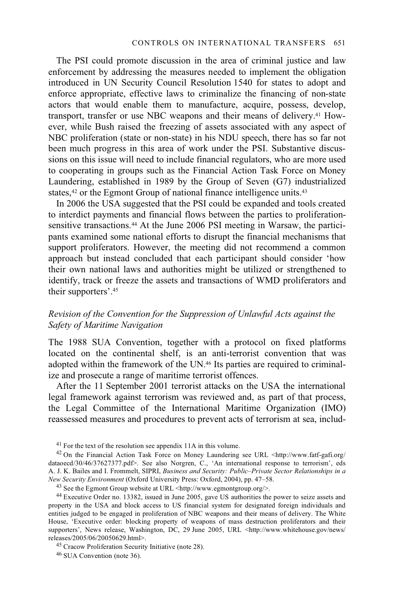The PSI could promote discussion in the area of criminal justice and law enforcement by addressing the measures needed to implement the obligation introduced in UN Security Council Resolution 1540 for states to adopt and enforce appropriate, effective laws to criminalize the financing of non-state actors that would enable them to manufacture, acquire, possess, develop, transport, transfer or use NBC weapons and their means of delivery.41 However, while Bush raised the freezing of assets associated with any aspect of NBC proliferation (state or non-state) in his NDU speech, there has so far not been much progress in this area of work under the PSI. Substantive discussions on this issue will need to include financial regulators, who are more used to cooperating in groups such as the Financial Action Task Force on Money Laundering, established in 1989 by the Group of Seven (G7) industrialized states,<sup>42</sup> or the Egmont Group of national finance intelligence units.<sup>43</sup>

In 2006 the USA suggested that the PSI could be expanded and tools created to interdict payments and financial flows between the parties to proliferationsensitive transactions.<sup>44</sup> At the June 2006 PSI meeting in Warsaw, the participants examined some national efforts to disrupt the financial mechanisms that support proliferators. However, the meeting did not recommend a common approach but instead concluded that each participant should consider 'how their own national laws and authorities might be utilized or strengthened to identify, track or freeze the assets and transactions of WMD proliferators and their supporters'.45

## *Revision of the Convention for the Suppression of Unlawful Acts against the Safety of Maritime Navigation*

The 1988 SUA Convention, together with a protocol on fixed platforms located on the continental shelf, is an anti-terrorist convention that was adopted within the framework of the  $UN<sub>46</sub>$  Its parties are required to criminalize and prosecute a range of maritime terrorist offences.

After the 11 September 2001 terrorist attacks on the USA the international legal framework against terrorism was reviewed and, as part of that process, the Legal Committee of the International Maritime Organization (IMO) reassessed measures and procedures to prevent acts of terrorism at sea, includ-

<sup>45</sup> Cracow Proliferation Security Initiative (note 28).

<sup>41</sup> For the text of the resolution see appendix 11A in this volume.

<sup>&</sup>lt;sup>42</sup> On the Financial Action Task Force on Money Laundering see URL <http://www.fatf-gafi.org/ dataoecd/30/46/37627377.pdf>. See also Norgren, C., 'An international response to terrorism', eds A. J. K. Bailes and I. Frommelt, SIPRI, *Business and Security: Public–Private Sector Relationships in a* 

<sup>&</sup>lt;sup>43</sup> See the Egmont Group website at URL <http://www.egmontgroup.org/>.

<sup>44</sup> Executive Order no. 13382, issued in June 2005, gave US authorities the power to seize assets and property in the USA and block access to US financial system for designated foreign individuals and entities judged to be engaged in proliferation of NBC weapons and their means of delivery. The White House, 'Executive order: blocking property of weapons of mass destruction proliferators and their supporters', News release, Washington, DC, 29 June 2005, URL <http://www.whitehouse.gov/news/<br>releases/2005/06/20050629.html>.

<sup>46</sup> SUA Convention (note 36).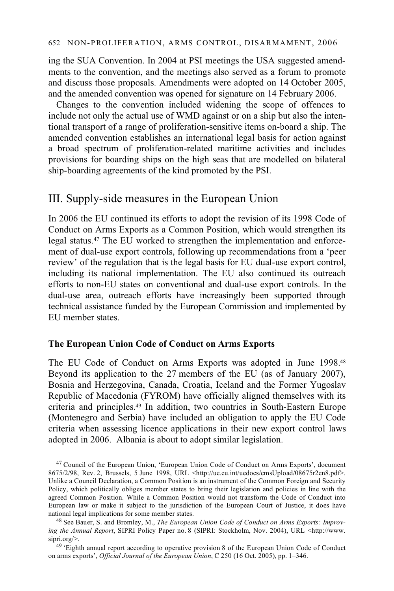ing the SUA Convention. In 2004 at PSI meetings the USA suggested amendments to the convention, and the meetings also served as a forum to promote and discuss those proposals. Amendments were adopted on 14 October 2005, and the amended convention was opened for signature on 14 February 2006.

Changes to the convention included widening the scope of offences to include not only the actual use of WMD against or on a ship but also the intentional transport of a range of proliferation-sensitive items on-board a ship. The amended convention establishes an international legal basis for action against a broad spectrum of proliferation-related maritime activities and includes provisions for boarding ships on the high seas that are modelled on bilateral ship-boarding agreements of the kind promoted by the PSI.

# III. Supply-side measures in the European Union

In 2006 the EU continued its efforts to adopt the revision of its 1998 Code of Conduct on Arms Exports as a Common Position, which would strengthen its legal status.47 The EU worked to strengthen the implementation and enforcement of dual-use export controls, following up recommendations from a 'peer review' of the regulation that is the legal basis for EU dual-use export control, including its national implementation. The EU also continued its outreach efforts to non-EU states on conventional and dual-use export controls. In the dual-use area, outreach efforts have increasingly been supported through technical assistance funded by the European Commission and implemented by EU member states.

## **The European Union Code of Conduct on Arms Exports**

The EU Code of Conduct on Arms Exports was adopted in June 1998.48 Beyond its application to the 27 members of the EU (as of January 2007), Bosnia and Herzegovina, Canada, Croatia, Iceland and the Former Yugoslav Republic of Macedonia (FYROM) have officially aligned themselves with its criteria and principles.49 In addition, two countries in South-Eastern Europe (Montenegro and Serbia) have included an obligation to apply the EU Code criteria when assessing licence applications in their new export control laws adopted in 2006. Albania is about to adopt similar legislation.

47 Council of the European Union, 'European Union Code of Conduct on Arms Exports', document 8675/2/98, Rev. 2, Brussels, 5 June 1998, URL <http://ue.eu.int/uedocs/cmsUpload/08675r2en8.pdf>. Unlike a Council Declaration, a Common Position is an instrument of the Common Foreign and Security Policy, which politically obliges member states to bring their legislation and policies in line with the agreed Common Position. While a Common Position would not transform the Code of Conduct into European law or make it subject to the jurisdiction of the European Court of Justice, it does have national legal implications for some member states.<br><sup>48</sup> See Bauer, S. and Bromley, M., *The European Union Code of Conduct on Arms Exports: Improv-*

ing the Annual Report, SIPRI Policy Paper no. 8 (SIPRI: Stockholm, Nov. 2004), URL <http://www. sipri.org/>.<br><sup>49</sup> 'Eighth annual report according to operative provision 8 of the European Union Code of Conduct

on arms exports', *Official Journal of the European Union*, C 250 (16 Oct. 2005), pp. 1–346.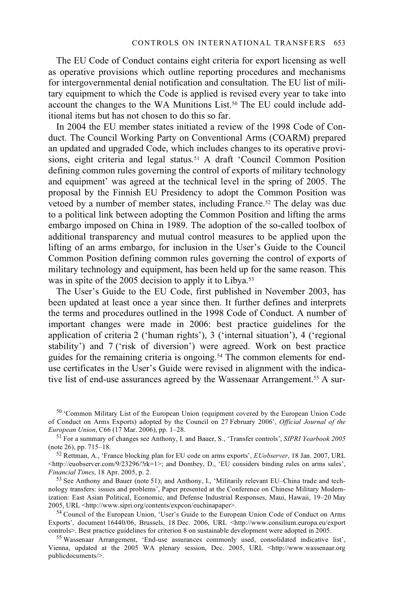The EU Code of Conduct contains eight criteria for export licensing as well as operative provisions which outline reporting procedures and mechanisms for intergovernmental denial notification and consultation. The EU list of military equipment to which the Code is applied is revised every year to take into account the changes to the WA Munitions List.<sup>50</sup> The EU could include additional items but has not chosen to do this so far.

In 2004 the EU member states initiated a review of the 1998 Code of Conduct. The Council Working Party on Conventional Arms (COARM) prepared an updated and upgraded Code, which includes changes to its operative provisions, eight criteria and legal status.<sup>51</sup> A draft 'Council Common Position defining common rules governing the control of exports of military technology and equipment' was agreed at the technical level in the spring of 2005. The proposal by the Finnish EU Presidency to adopt the Common Position was vetoed by a number of member states, including France.52 The delay was due to a political link between adopting the Common Position and lifting the arms embargo imposed on China in 1989. The adoption of the so-called toolbox of additional transparency and mutual control measures to be applied upon the lifting of an arms embargo, for inclusion in the User's Guide to the Council Common Position defining common rules governing the control of exports of military technology and equipment, has been held up for the same reason. This was in spite of the 2005 decision to apply it to Libya.<sup>53</sup>

The User's Guide to the EU Code, first published in November 2003, has been updated at least once a year since then. It further defines and interprets the terms and procedures outlined in the 1998 Code of Conduct. A number of important changes were made in 2006: best practice guidelines for the application of criteria 2 ('human rights'), 3 ('internal situation'), 4 ('regional stability') and 7 ('risk of diversion') were agreed. Work on best practice guides for the remaining criteria is ongoing.<sup>54</sup> The common elements for enduse certificates in the User's Guide were revised in alignment with the indicative list of end-use assurances agreed by the Wassenaar Arrangement.55 A sur-

50 'Common Military List of the European Union (equipment covered by the European Union Code of Conduct on Arms Exports) adopted by the Council on 27 February 2006', *Official Journal of the* 

<sup>51</sup> For a summary of changes see Anthony, I. and Bauer, S., 'Transfer controls', *SIPRI Yearbook 2005* (note 26), pp. 715–18.

<sup>52</sup> Rettman, A., 'France blocking plan for EU code on arms exports', *EUobserver*, 18 Jan. 2007, URL <http://euobserver.com/9/23296/?rk=1>; and Dombey, D., 'EU considers binding rules on arms sales',

<sup>53</sup> See Anthony and Bauer (note 51); and Anthony, I., 'Militarily relevant EU–China trade and technology transfers: issues and problems', Paper presented at the Conference on Chinese Military Modernization: East Asian Political, Economic, and Defense Industrial Responses, Maui, Hawaii, 19–20 May 2005, URL <http://www.sipri.org/contents/expcon/euchinapaper>.

<sup>54</sup> Council of the European Union, 'User's Guide to the European Union Code of Conduct on Arms Exports', document 16440/06, Brussels, 18 Dec. 2006, URL <http://www.consilium.europa.eu/export controls>. Best practice guidelines for criterion 8 on sustainable development were adopted in 2005.

 $55$  Wassenaar Arrangement, 'End-use assurances commonly used, consolidated indicative list', Vienna, updated at the 2005 WA plenary session, Dec. 2005, URL <http://www.wassenaar.org publicdocuments/>.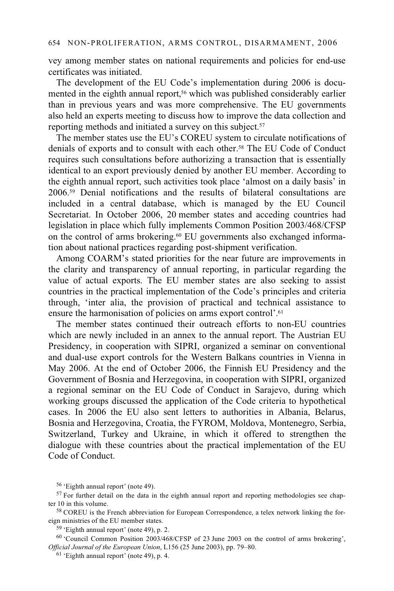vey among member states on national requirements and policies for end-use certificates was initiated.

The development of the EU Code's implementation during 2006 is documented in the eighth annual report,<sup>56</sup> which was published considerably earlier than in previous years and was more comprehensive. The EU governments also held an experts meeting to discuss how to improve the data collection and reporting methods and initiated a survey on this subject.<sup>57</sup>

The member states use the EU's COREU system to circulate notifications of denials of exports and to consult with each other.58 The EU Code of Conduct requires such consultations before authorizing a transaction that is essentially identical to an export previously denied by another EU member. According to the eighth annual report, such activities took place 'almost on a daily basis' in 2006.59 Denial notifications and the results of bilateral consultations are included in a central database, which is managed by the EU Council Secretariat. In October 2006, 20 member states and acceding countries had legislation in place which fully implements Common Position 2003/468/CFSP on the control of arms brokering.60 EU governments also exchanged information about national practices regarding post-shipment verification.

Among COARM's stated priorities for the near future are improvements in the clarity and transparency of annual reporting, in particular regarding the value of actual exports. The EU member states are also seeking to assist countries in the practical implementation of the Code's principles and criteria through, 'inter alia, the provision of practical and technical assistance to ensure the harmonisation of policies on arms export control'.<sup>61</sup>

The member states continued their outreach efforts to non-EU countries which are newly included in an annex to the annual report. The Austrian EU Presidency, in cooperation with SIPRI, organized a seminar on conventional and dual-use export controls for the Western Balkans countries in Vienna in May 2006. At the end of October 2006, the Finnish EU Presidency and the Government of Bosnia and Herzegovina, in cooperation with SIPRI, organized a regional seminar on the EU Code of Conduct in Sarajevo, during which working groups discussed the application of the Code criteria to hypothetical cases. In 2006 the EU also sent letters to authorities in Albania, Belarus, Bosnia and Herzegovina, Croatia, the FYROM, Moldova, Montenegro, Serbia, Switzerland, Turkey and Ukraine, in which it offered to strengthen the dialogue with these countries about the practical implementation of the EU Code of Conduct.

 $59$  'Eighth annual report' (note 49), p. 2.

60 'Council Common Position 2003/468/CFSP of 23 June 2003 on the control of arms brokering', *Official Journal of the European Union*, L156 (25 June 2003), pp. 79–80.

<sup>56 &#</sup>x27;Eighth annual report' (note 49).

 $57$  For further detail on the data in the eighth annual report and reporting methodologies see chap-

ter 10 in this volume.<br><sup>58</sup> COREU is the French abbreviation for European Correspondence, a telex network linking the for-<br>eign ministries of the EU member states.

 $61$  'Eighth annual report' (note 49), p. 4.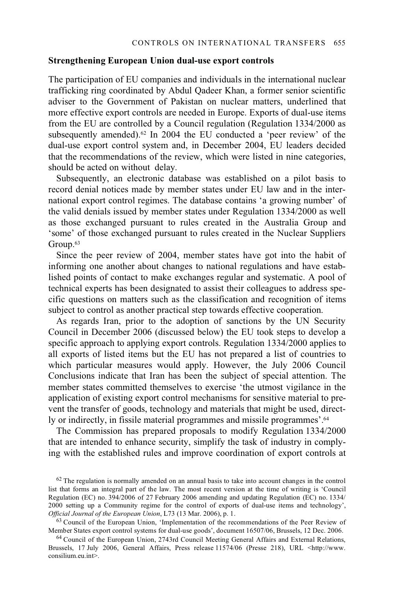#### **Strengthening European Union dual-use export controls**

The participation of EU companies and individuals in the international nuclear trafficking ring coordinated by Abdul Qadeer Khan, a former senior scientific adviser to the Government of Pakistan on nuclear matters, underlined that more effective export controls are needed in Europe. Exports of dual-use items from the EU are controlled by a Council regulation (Regulation 1334/2000 as subsequently amended).<sup>62</sup> In 2004 the EU conducted a 'peer review' of the dual-use export control system and, in December 2004, EU leaders decided that the recommendations of the review, which were listed in nine categories, should be acted on without delay.

Subsequently, an electronic database was established on a pilot basis to record denial notices made by member states under EU law and in the international export control regimes. The database contains 'a growing number' of the valid denials issued by member states under Regulation 1334/2000 as well as those exchanged pursuant to rules created in the Australia Group and 'some' of those exchanged pursuant to rules created in the Nuclear Suppliers Group.<sup>63</sup>

Since the peer review of 2004, member states have got into the habit of informing one another about changes to national regulations and have established points of contact to make exchanges regular and systematic. A pool of technical experts has been designated to assist their colleagues to address specific questions on matters such as the classification and recognition of items subject to control as another practical step towards effective cooperation.

As regards Iran, prior to the adoption of sanctions by the UN Security Council in December 2006 (discussed below) the EU took steps to develop a specific approach to applying export controls. Regulation 1334/2000 applies to all exports of listed items but the EU has not prepared a list of countries to which particular measures would apply. However, the July 2006 Council Conclusions indicate that Iran has been the subject of special attention. The member states committed themselves to exercise 'the utmost vigilance in the application of existing export control mechanisms for sensitive material to prevent the transfer of goods, technology and materials that might be used, directly or indirectly, in fissile material programmes and missile programmes'.64

The Commission has prepared proposals to modify Regulation 1334/2000 that are intended to enhance security, simplify the task of industry in complying with the established rules and improve coordination of export controls at

<sup>&</sup>lt;sup>62</sup> The regulation is normally amended on an annual basis to take into account changes in the control list that forms an integral part of the law. The most recent version at the time of writing is 'Council Regulation (EC) no. 394/2006 of 27 February 2006 amending and updating Regulation (EC) no. 1334/ 2000 setting up a Community regime for the control of exports of dual-use items and technology', *Official Journal of the European Union*, L73 (13 Mar. 2006), p. 1.

<sup>&</sup>lt;sup>63</sup> Council of the European Union, 'Implementation of the recommendations of the Peer Review of Member States export control systems for dual-use goods', document 16507/06, Brussels, 12 Dec. 2006.<br><sup>64</sup> Council of the European Union, 2743rd Council Meeting General Affairs and External Relations,

Brussels, 17 July 2006, General Affairs, Press release 11574/06 (Presse 218), URL <http://www. consilium.eu.int>.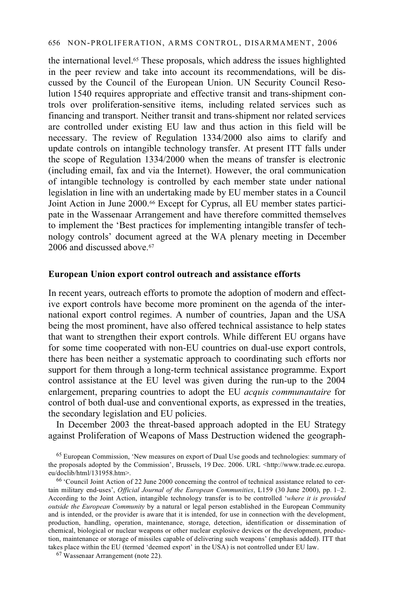the international level.65 These proposals, which address the issues highlighted in the peer review and take into account its recommendations, will be discussed by the Council of the European Union. UN Security Council Resolution 1540 requires appropriate and effective transit and trans-shipment controls over proliferation-sensitive items, including related services such as financing and transport. Neither transit and trans-shipment nor related services are controlled under existing EU law and thus action in this field will be necessary. The review of Regulation 1334/2000 also aims to clarify and update controls on intangible technology transfer. At present ITT falls under the scope of Regulation 1334/2000 when the means of transfer is electronic (including email, fax and via the Internet). However, the oral communication of intangible technology is controlled by each member state under national legislation in line with an undertaking made by EU member states in a Council Joint Action in June 2000.66 Except for Cyprus, all EU member states participate in the Wassenaar Arrangement and have therefore committed themselves to implement the 'Best practices for implementing intangible transfer of technology controls' document agreed at the WA plenary meeting in December 2006 and discussed above.<sup>67</sup>

### **European Union export control outreach and assistance efforts**

In recent years, outreach efforts to promote the adoption of modern and effective export controls have become more prominent on the agenda of the international export control regimes. A number of countries, Japan and the USA being the most prominent, have also offered technical assistance to help states that want to strengthen their export controls. While different EU organs have for some time cooperated with non-EU countries on dual-use export controls, there has been neither a systematic approach to coordinating such efforts nor support for them through a long-term technical assistance programme. Export control assistance at the EU level was given during the run-up to the 2004 enlargement, preparing countries to adopt the EU *acquis communautaire* for control of both dual-use and conventional exports, as expressed in the treaties, the secondary legislation and EU policies.

In December 2003 the threat-based approach adopted in the EU Strategy against Proliferation of Weapons of Mass Destruction widened the geograph-

65 European Commission, 'New measures on export of Dual Use goods and technologies: summary of the proposals adopted by the Commission', Brussels, 19 Dec. 2006. URL <http://www.trade.ec.europa. eu/doclib/html/131958.htm>.

 $66$  'Council Joint Action of 22 June 2000 concerning the control of technical assistance related to certain military end-uses', *Official Journal of the European Communities*, L159 (30 June 2000), pp. 1–2. According to the Joint Action, intangible technology transfer is to be controlled '*where it is provided outside the European Community* by a natural or legal person established in the European Community and is intended, or the provider is aware that it is intended, for use in connection with the development, production, handling, operation, maintenance, storage, detection, identification or dissemination of chemical, biological or nuclear weapons or other nuclear explosive devices or the development, production, maintenance or storage of missiles capable of delivering such weapons' (emphasis added). ITT that takes place within the EU (termed 'deemed export' in the USA) is not controlled under EU law. <sup>67</sup> Wassenaar Arrangement (note 22).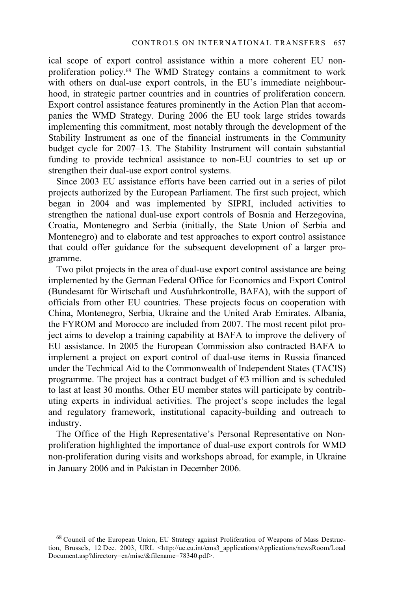ical scope of export control assistance within a more coherent EU nonproliferation policy.68 The WMD Strategy contains a commitment to work with others on dual-use export controls, in the EU's immediate neighbourhood, in strategic partner countries and in countries of proliferation concern. Export control assistance features prominently in the Action Plan that accompanies the WMD Strategy. During 2006 the EU took large strides towards implementing this commitment, most notably through the development of the Stability Instrument as one of the financial instruments in the Community budget cycle for 2007–13. The Stability Instrument will contain substantial funding to provide technical assistance to non-EU countries to set up or strengthen their dual-use export control systems.

Since 2003 EU assistance efforts have been carried out in a series of pilot projects authorized by the European Parliament. The first such project, which began in 2004 and was implemented by SIPRI, included activities to strengthen the national dual-use export controls of Bosnia and Herzegovina, Croatia, Montenegro and Serbia (initially, the State Union of Serbia and Montenegro) and to elaborate and test approaches to export control assistance that could offer guidance for the subsequent development of a larger programme.

Two pilot projects in the area of dual-use export control assistance are being implemented by the German Federal Office for Economics and Export Control (Bundesamt für Wirtschaft und Ausfuhrkontrolle, BAFA), with the support of officials from other EU countries. These projects focus on cooperation with China, Montenegro, Serbia, Ukraine and the United Arab Emirates. Albania, the FYROM and Morocco are included from 2007. The most recent pilot project aims to develop a training capability at BAFA to improve the delivery of EU assistance. In 2005 the European Commission also contracted BAFA to implement a project on export control of dual-use items in Russia financed under the Technical Aid to the Commonwealth of Independent States (TACIS) programme. The project has a contract budget of  $\epsilon$ 3 million and is scheduled to last at least 30 months. Other EU member states will participate by contributing experts in individual activities. The project's scope includes the legal and regulatory framework, institutional capacity-building and outreach to industry.

The Office of the High Representative's Personal Representative on Nonproliferation highlighted the importance of dual-use export controls for WMD non-proliferation during visits and workshops abroad, for example, in Ukraine in January 2006 and in Pakistan in December 2006.

<sup>68</sup> Council of the European Union, EU Strategy against Proliferation of Weapons of Mass Destruction, Brussels, 12 Dec. 2003, URL <http://ue.eu.int/cms3\_applications/Applications/newsRoom/Load Document.asp?directory=en/misc/&filename=78340.pdf>.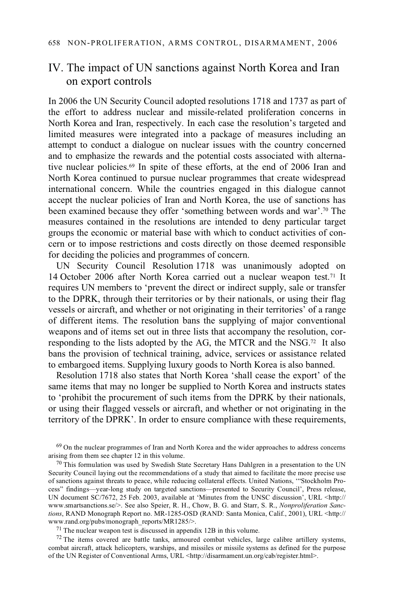# IV. The impact of UN sanctions against North Korea and Iran on export controls

In 2006 the UN Security Council adopted resolutions 1718 and 1737 as part of the effort to address nuclear and missile-related proliferation concerns in North Korea and Iran, respectively. In each case the resolution's targeted and limited measures were integrated into a package of measures including an attempt to conduct a dialogue on nuclear issues with the country concerned and to emphasize the rewards and the potential costs associated with alternative nuclear policies.69 In spite of these efforts, at the end of 2006 Iran and North Korea continued to pursue nuclear programmes that create widespread international concern. While the countries engaged in this dialogue cannot accept the nuclear policies of Iran and North Korea, the use of sanctions has been examined because they offer 'something between words and war'.70 The measures contained in the resolutions are intended to deny particular target groups the economic or material base with which to conduct activities of concern or to impose restrictions and costs directly on those deemed responsible for deciding the policies and programmes of concern.

UN Security Council Resolution 1718 was unanimously adopted on 14 October 2006 after North Korea carried out a nuclear weapon test.<sup>71</sup> It requires UN members to 'prevent the direct or indirect supply, sale or transfer to the DPRK, through their territories or by their nationals, or using their flag vessels or aircraft, and whether or not originating in their territories' of a range of different items. The resolution bans the supplying of major conventional weapons and of items set out in three lists that accompany the resolution, corresponding to the lists adopted by the AG, the MTCR and the NSG.72 It also bans the provision of technical training, advice, services or assistance related to embargoed items. Supplying luxury goods to North Korea is also banned.

Resolution 1718 also states that North Korea 'shall cease the export' of the same items that may no longer be supplied to North Korea and instructs states to 'prohibit the procurement of such items from the DPRK by their nationals, or using their flagged vessels or aircraft, and whether or not originating in the territory of the DPRK'. In order to ensure compliance with these requirements,

 $^{69}$  On the nuclear programmes of Iran and North Korea and the wider approaches to address concerns arising from them see chapter 12 in this volume.

 $70$  This formulation was used by Swedish State Secretary Hans Dahlgren in a presentation to the UN Security Council laying out the recommendations of a study that aimed to facilitate the more precise use of sanctions against threats to peace, while reducing collateral effects. United Nations, '"Stockholm Process" findings—year-long study on targeted sanctions—presented to Security Council', Press release, UN document SC/7672, 25 Feb. 2003, available at 'Minutes from the UNSC discussion', URL <http:// www.smartsanctions.se/>. See also Speier, R. H., Chow, B. G. and Starr, S. R., *Nonproliferation Sanctions*, RAND Monograph Report no. MR-1285-OSD (RAND: Santa Monica, Calif., 2001), URL <http:// www.rand.org/pubs/monograph\_reports/MR1285/>.<br><sup>71</sup> The nuclear weapon test is discussed in appendix 12B in this volume.

 $72$  The items covered are battle tanks, armoured combat vehicles, large calibre artillery systems, combat aircraft, attack helicopters, warships, and missiles or missile systems as defined for the purpose of the UN Register of Conventional Arms, URL <http://disarmament.un.org/cab/register.html>.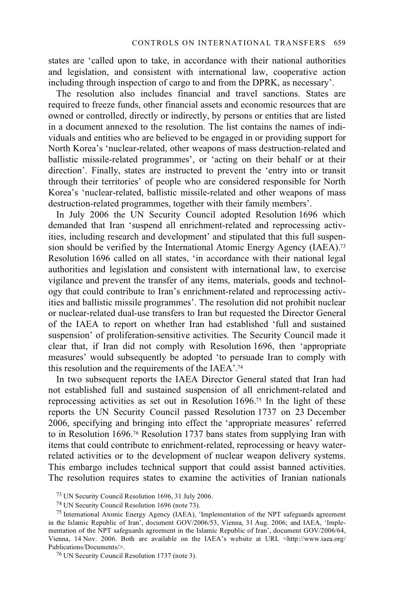states are 'called upon to take, in accordance with their national authorities and legislation, and consistent with international law, cooperative action including through inspection of cargo to and from the DPRK, as necessary'.

The resolution also includes financial and travel sanctions. States are required to freeze funds, other financial assets and economic resources that are owned or controlled, directly or indirectly, by persons or entities that are listed in a document annexed to the resolution. The list contains the names of individuals and entities who are believed to be engaged in or providing support for North Korea's 'nuclear-related, other weapons of mass destruction-related and ballistic missile-related programmes', or 'acting on their behalf or at their direction'. Finally, states are instructed to prevent the 'entry into or transit through their territories' of people who are considered responsible for North Korea's 'nuclear-related, ballistic missile-related and other weapons of mass destruction-related programmes, together with their family members'.

In July 2006 the UN Security Council adopted Resolution 1696 which demanded that Iran 'suspend all enrichment-related and reprocessing activities, including research and development' and stipulated that this full suspension should be verified by the International Atomic Energy Agency (IAEA).73 Resolution 1696 called on all states, 'in accordance with their national legal authorities and legislation and consistent with international law, to exercise vigilance and prevent the transfer of any items, materials, goods and technology that could contribute to Iran's enrichment-related and reprocessing activities and ballistic missile programmes'. The resolution did not prohibit nuclear or nuclear-related dual-use transfers to Iran but requested the Director General of the IAEA to report on whether Iran had established 'full and sustained suspension' of proliferation-sensitive activities. The Security Council made it clear that, if Iran did not comply with Resolution 1696, then 'appropriate measures' would subsequently be adopted 'to persuade Iran to comply with this resolution and the requirements of the IAEA'.74

In two subsequent reports the IAEA Director General stated that Iran had not established full and sustained suspension of all enrichment-related and reprocessing activities as set out in Resolution 1696.75 In the light of these reports the UN Security Council passed Resolution 1737 on 23 December 2006, specifying and bringing into effect the 'appropriate measures' referred to in Resolution 1696.76 Resolution 1737 bans states from supplying Iran with items that could contribute to enrichment-related, reprocessing or heavy waterrelated activities or to the development of nuclear weapon delivery systems. This embargo includes technical support that could assist banned activities. The resolution requires states to examine the activities of Iranian nationals

73 UN Security Council Resolution 1696, 31 July 2006.

74 UN Security Council Resolution 1696 (note 73).

76 UN Security Council Resolution 1737 (note 3).

<sup>75</sup> International Atomic Energy Agency (IAEA), 'Implementation of the NPT safeguards agreement in the Islamic Republic of Iran', document GOV/2006/53, Vienna, 31 Aug. 2006; and IAEA, 'Implementation of the NPT safeguards agreement in the Islamic Republic of Iran', document GOV/2006/64, Vienna, 14 Nov. 2006. Both are available on the IAEA's website at URL <http://www.iaea.org/ Publications/Documents/>.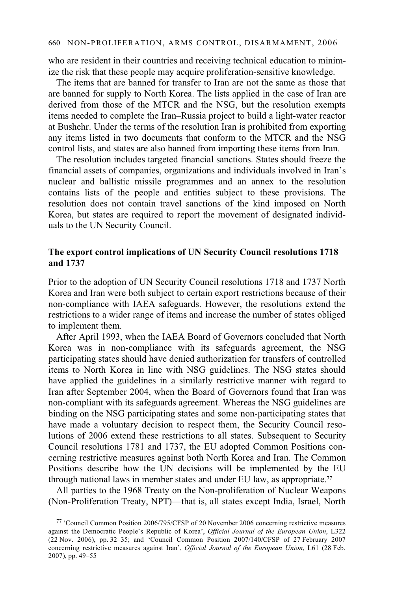who are resident in their countries and receiving technical education to minimize the risk that these people may acquire proliferation-sensitive knowledge.

The items that are banned for transfer to Iran are not the same as those that are banned for supply to North Korea. The lists applied in the case of Iran are derived from those of the MTCR and the NSG, but the resolution exempts items needed to complete the Iran–Russia project to build a light-water reactor at Bushehr. Under the terms of the resolution Iran is prohibited from exporting any items listed in two documents that conform to the MTCR and the NSG control lists, and states are also banned from importing these items from Iran.

The resolution includes targeted financial sanctions. States should freeze the financial assets of companies, organizations and individuals involved in Iran's nuclear and ballistic missile programmes and an annex to the resolution contains lists of the people and entities subject to these provisions. The resolution does not contain travel sanctions of the kind imposed on North Korea, but states are required to report the movement of designated individuals to the UN Security Council.

## **The export control implications of UN Security Council resolutions 1718 and 1737**

Prior to the adoption of UN Security Council resolutions 1718 and 1737 North Korea and Iran were both subject to certain export restrictions because of their non-compliance with IAEA safeguards. However, the resolutions extend the restrictions to a wider range of items and increase the number of states obliged to implement them.

After April 1993, when the IAEA Board of Governors concluded that North Korea was in non-compliance with its safeguards agreement, the NSG participating states should have denied authorization for transfers of controlled items to North Korea in line with NSG guidelines. The NSG states should have applied the guidelines in a similarly restrictive manner with regard to Iran after September 2004, when the Board of Governors found that Iran was non-compliant with its safeguards agreement. Whereas the NSG guidelines are binding on the NSG participating states and some non-participating states that have made a voluntary decision to respect them, the Security Council resolutions of 2006 extend these restrictions to all states. Subsequent to Security Council resolutions 1781 and 1737, the EU adopted Common Positions concerning restrictive measures against both North Korea and Iran. The Common Positions describe how the UN decisions will be implemented by the EU through national laws in member states and under EU law, as appropriate.77

All parties to the 1968 Treaty on the Non-proliferation of Nuclear Weapons (Non-Proliferation Treaty, NPT)—that is, all states except India, Israel, North

<sup>77 &#</sup>x27;Council Common Position 2006/795/CFSP of 20 November 2006 concerning restrictive measures against the Democratic People's Republic of Korea', *Official Journal of the European Union*, L322 (22 Nov. 2006), pp. 32–35; and 'Council Common Position 2007/140/CFSP of 27 February 2007 concerning restrictive measures against Iran', *Official Journal of the European Union*, L61 (28 Feb. 2007), pp. 49–55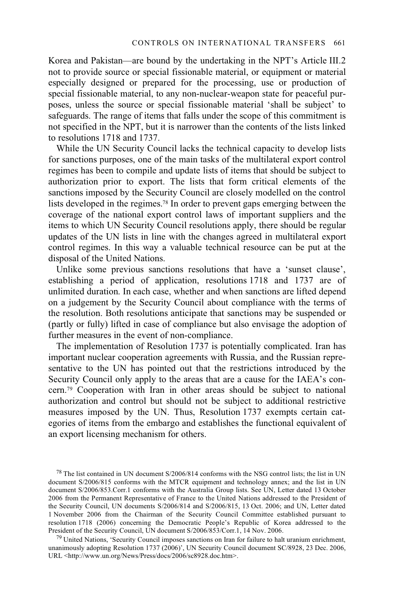Korea and Pakistan—are bound by the undertaking in the NPT's Article III.2 not to provide source or special fissionable material, or equipment or material especially designed or prepared for the processing, use or production of special fissionable material, to any non-nuclear-weapon state for peaceful purposes, unless the source or special fissionable material 'shall be subject' to safeguards. The range of items that falls under the scope of this commitment is not specified in the NPT, but it is narrower than the contents of the lists linked to resolutions 1718 and 1737.

While the UN Security Council lacks the technical capacity to develop lists for sanctions purposes, one of the main tasks of the multilateral export control regimes has been to compile and update lists of items that should be subject to authorization prior to export. The lists that form critical elements of the sanctions imposed by the Security Council are closely modelled on the control lists developed in the regimes.78 In order to prevent gaps emerging between the coverage of the national export control laws of important suppliers and the items to which UN Security Council resolutions apply, there should be regular updates of the UN lists in line with the changes agreed in multilateral export control regimes. In this way a valuable technical resource can be put at the disposal of the United Nations.

Unlike some previous sanctions resolutions that have a 'sunset clause', establishing a period of application, resolutions 1718 and 1737 are of unlimited duration. In each case, whether and when sanctions are lifted depend on a judgement by the Security Council about compliance with the terms of the resolution. Both resolutions anticipate that sanctions may be suspended or (partly or fully) lifted in case of compliance but also envisage the adoption of further measures in the event of non-compliance.

The implementation of Resolution 1737 is potentially complicated. Iran has important nuclear cooperation agreements with Russia, and the Russian representative to the UN has pointed out that the restrictions introduced by the Security Council only apply to the areas that are a cause for the IAEA's concern.79 Cooperation with Iran in other areas should be subject to national authorization and control but should not be subject to additional restrictive measures imposed by the UN. Thus, Resolution 1737 exempts certain categories of items from the embargo and establishes the functional equivalent of an export licensing mechanism for others.

 $^{78}$  The list contained in UN document S/2006/814 conforms with the NSG control lists; the list in UN document S/2006/815 conforms with the MTCR equipment and technology annex; and the list in UN document S/2006/853.Corr.1 conforms with the Australia Group lists. See UN, Letter dated 13 October 2006 from the Permanent Representative of France to the United Nations addressed to the President of the Security Council, UN documents S/2006/814 and S/2006/815, 13 Oct. 2006; and UN, Letter dated 1 November 2006 from the Chairman of the Security Council Committee established pursuant to resolution 1718 (2006) concerning the Democratic People's Republic of Korea addressed to the President of the Security Council, UN document S/2006/853/Corr.1, 14 Nov. 2006.

<sup>&</sup>lt;sup>79</sup> United Nations, 'Security Council imposes sanctions on Iran for failure to halt uranium enrichment, unanimously adopting Resolution 1737 (2006)', UN Security Council document SC/8928, 23 Dec. 2006, URL <http://www.un.org/News/Press/docs/2006/sc8928.doc.htm>.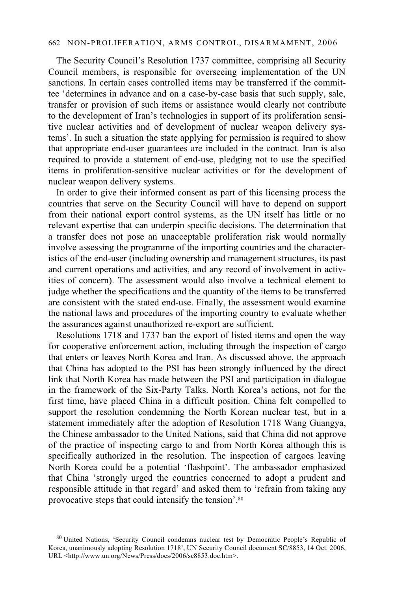The Security Council's Resolution 1737 committee, comprising all Security Council members, is responsible for overseeing implementation of the UN sanctions. In certain cases controlled items may be transferred if the committee 'determines in advance and on a case-by-case basis that such supply, sale, transfer or provision of such items or assistance would clearly not contribute to the development of Iran's technologies in support of its proliferation sensitive nuclear activities and of development of nuclear weapon delivery systems'. In such a situation the state applying for permission is required to show that appropriate end-user guarantees are included in the contract. Iran is also required to provide a statement of end-use, pledging not to use the specified items in proliferation-sensitive nuclear activities or for the development of nuclear weapon delivery systems.

In order to give their informed consent as part of this licensing process the countries that serve on the Security Council will have to depend on support from their national export control systems, as the UN itself has little or no relevant expertise that can underpin specific decisions. The determination that a transfer does not pose an unacceptable proliferation risk would normally involve assessing the programme of the importing countries and the characteristics of the end-user (including ownership and management structures, its past and current operations and activities, and any record of involvement in activities of concern). The assessment would also involve a technical element to judge whether the specifications and the quantity of the items to be transferred are consistent with the stated end-use. Finally, the assessment would examine the national laws and procedures of the importing country to evaluate whether the assurances against unauthorized re-export are sufficient.

Resolutions 1718 and 1737 ban the export of listed items and open the way for cooperative enforcement action, including through the inspection of cargo that enters or leaves North Korea and Iran. As discussed above, the approach that China has adopted to the PSI has been strongly influenced by the direct link that North Korea has made between the PSI and participation in dialogue in the framework of the Six-Party Talks. North Korea's actions, not for the first time, have placed China in a difficult position. China felt compelled to support the resolution condemning the North Korean nuclear test, but in a statement immediately after the adoption of Resolution 1718 Wang Guangya, the Chinese ambassador to the United Nations, said that China did not approve of the practice of inspecting cargo to and from North Korea although this is specifically authorized in the resolution. The inspection of cargoes leaving North Korea could be a potential 'flashpoint'. The ambassador emphasized that China 'strongly urged the countries concerned to adopt a prudent and responsible attitude in that regard' and asked them to 'refrain from taking any provocative steps that could intensify the tension'.80

<sup>80</sup> United Nations, 'Security Council condemns nuclear test by Democratic People's Republic of Korea, unanimously adopting Resolution 1718', UN Security Council document SC/8853, 14 Oct. 2006, URL <http://www.un.org/News/Press/docs/2006/sc8853.doc.htm>.